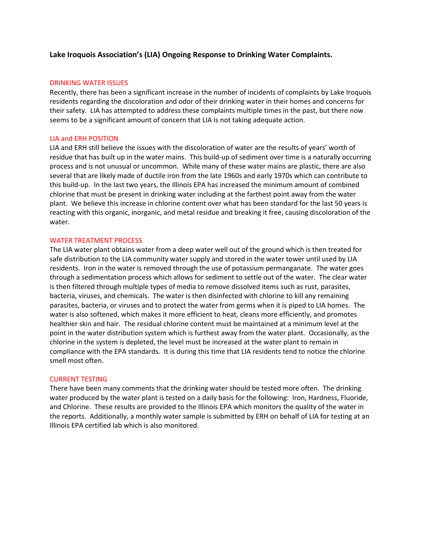# **Lake Iroquois Association's (LIA) Ongoing Response to Drinking Water Complaints.**

#### DRINKING WATER ISSUES

Recently, there has been a significant increase in the number of incidents of complaints by Lake Iroquois residents regarding the discoloration and odor of their drinking water in their homes and concerns for their safety. LIA has attempted to address these complaints multiple times in the past, but there now seems to be a significant amount of concern that LIA is not taking adequate action.

## LIA and ERH POSITION

LIA and ERH still believe the issues with the discoloration of water are the results of years' worth of residue that has built up in the water mains. This build-up of sediment over time is a naturally occurring process and is not unusual or uncommon. While many of these water mains are plastic, there are also several that are likely made of ductile iron from the late 1960s and early 1970s which can contribute to this build-up. In the last two years, the Illinois EPA has increased the minimum amount of combined chlorine that must be present in drinking water including at the farthest point away from the water plant. We believe this increase in chlorine content over what has been standard for the last 50 years is reacting with this organic, inorganic, and metal residue and breaking it free, causing discoloration of the water.

## WATER TREATMENT PROCESS

The LIA water plant obtains water from a deep water well out of the ground which is then treated for safe distribution to the LIA community water supply and stored in the water tower until used by LIA residents. Iron in the water is removed through the use of potassium permanganate. The water goes through a sedimentation process which allows for sediment to settle out of the water. The clear water is then filtered through multiple types of media to remove dissolved items such as rust, parasites, bacteria, viruses, and chemicals. The water is then disinfected with chlorine to kill any remaining parasites, bacteria, or viruses and to protect the water from germs when it is piped to LIA homes. The water is also softened, which makes it more efficient to heat, cleans more efficiently, and promotes healthier skin and hair. The residual chlorine content must be maintained at a minimum level at the point in the water distribution system which is furthest away from the water plant. Occasionally, as the chlorine in the system is depleted, the level must be increased at the water plant to remain in compliance with the EPA standards. It is during this time that LIA residents tend to notice the chlorine smell most often.

## CURRENT TESTING

There have been many comments that the drinking water should be tested more often. The drinking water produced by the water plant is tested on a daily basis for the following: Iron, Hardness, Fluoride, and Chlorine. These results are provided to the Illinois EPA which monitors the quality of the water in the reports. Additionally, a monthly water sample is submitted by ERH on behalf of LIA for testing at an Illinois EPA certified lab which is also monitored.